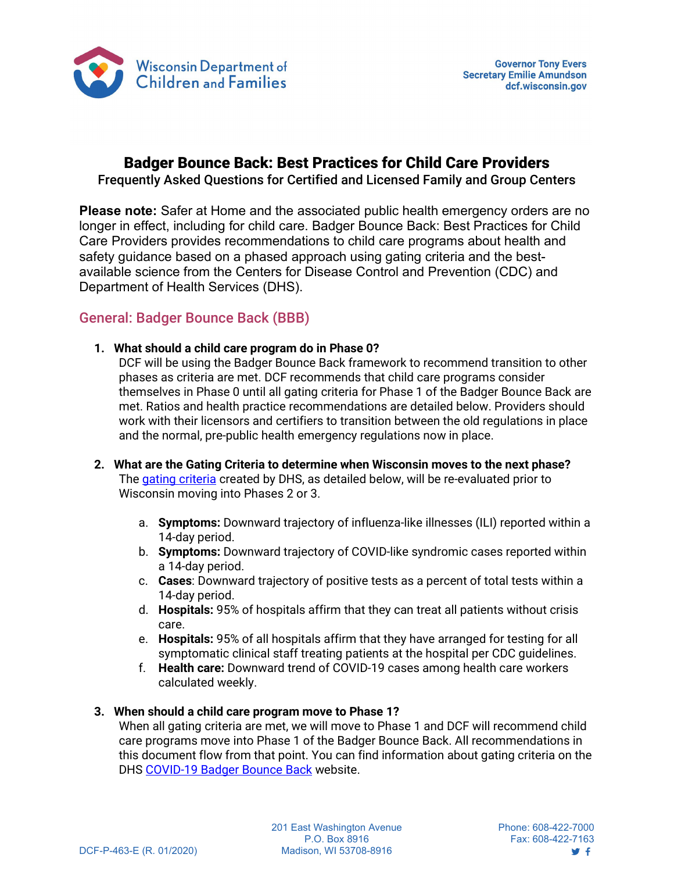

## Badger Bounce Back: Best Practices for Child Care Providers

Frequently Asked Questions for Certified and Licensed Family and Group Centers

**Please note:** Safer at Home and the associated public health emergency orders are no longer in effect, including for child care. Badger Bounce Back: Best Practices for Child Care Providers provides recommendations to child care programs about health and safety guidance based on a phased approach using gating criteria and the bestavailable science from the Centers for Disease Control and Prevention (CDC) and Department of Health Services (DHS).

## General: Badger Bounce Back (BBB)

**1. What should a child care program do in Phase 0?**

DCF will be using the Badger Bounce Back framework to recommend transition to other phases as criteria are met. DCF recommends that child care programs consider themselves in Phase 0 until all gating criteria for Phase 1 of the Badger Bounce Back are met. Ratios and health practice recommendations are detailed below. Providers should work with their licensors and certifiers to transition between the old regulations in place and the normal, pre-public health emergency regulations now in place.

- **2. What are the Gating Criteria to determine when Wisconsin moves to the next phase?** The gating [criteria](https://www.dhs.wisconsin.gov/covid-19/prepare.htm) created by DHS, as detailed below, will be re-evaluated prior to Wisconsin moving into Phases 2 or 3.
	- a. **Symptoms:** Downward trajectory of influenza-like illnesses (ILI) reported within a 14-day period.
	- b. **Symptoms:** Downward trajectory of COVID-like syndromic cases reported within a 14-day period.
	- c. **Cases**: Downward trajectory of positive tests as a percent of total tests within a 14-day period.
	- d. **Hospitals:** 95% of hospitals affirm that they can treat all patients without crisis care.
	- e. **Hospitals:** 95% of all hospitals affirm that they have arranged for testing for all symptomatic clinical staff treating patients at the hospital per CDC guidelines.
	- f. **Health care:** Downward trend of COVID-19 cases among health care workers calculated weekly.

### **3. When should a child care program move to Phase 1?**

When all gating criteria are met, we will move to Phase 1 and DCF will recommend child care programs move into Phase 1 of the Badger Bounce Back. All recommendations in this document flow from that point. You can find information about gating criteria on the DHS [COVID-19 Badger Bounce Back](https://www.dhs.wisconsin.gov/covid-19/prepare.htm) website.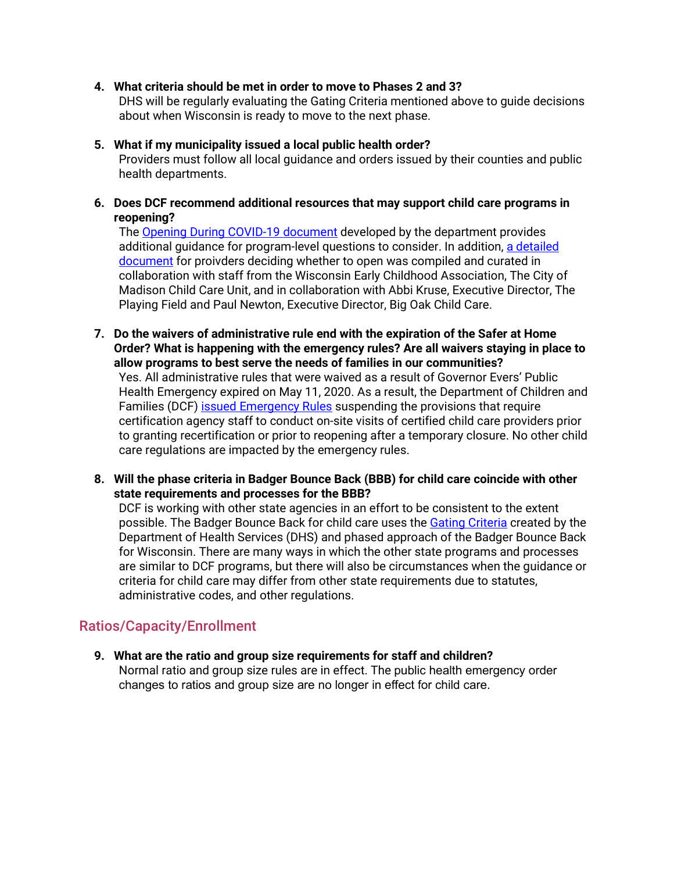#### **4. What criteria should be met in order to move to Phases 2 and 3?**

DHS will be regularly evaluating the Gating Criteria mentioned above to guide decisions about when Wisconsin is ready to move to the next phase.

#### **5. What if my municipality issued a local public health order?**

Providers must follow all local guidance and orders issued by their counties and public health departments.

#### **6. Does DCF recommend additional resources that may support child care programs in reopening?**

The [Opening During COVID-19 document](https://dcf.wisconsin.gov/files/press/2020/covid/bbb-best-practices.pdf) developed by the department provides additional guidance for program-level questions to consider. In addition, a detailed [document](https://wisconsinearlychildhood.org/wp-content/uploads/2020/04/Reopening-Guidance-4-23-20_PD_Edits.docx) for proivders deciding whether to open was compiled and curated in collaboration with staff from the Wisconsin Early Childhood Association, The City of Madison Child Care Unit, and in collaboration with Abbi Kruse, Executive Director, The Playing Field and Paul Newton, Executive Director, Big Oak Child Care.

**7. Do the waivers of administrative rule end with the expiration of the Safer at Home Order? What is happening with the emergency rules? Are all waivers staying in place to allow programs to best serve the needs of families in our communities?**

Yes. All administrative rules that were waived as a result of Governor Evers' Public Health Emergency expired on May 11, 2020. As a result, the Department of Children and Families (DCF) issued [Emergency](https://docs.legis.wisconsin.gov/code/register/2020/773B/register/emr/emr2009_rule_text/emr2009_rule_text) Rules suspending the provisions that require certification agency staff to conduct on-site visits of certified child care providers prior to granting recertification or prior to reopening after a temporary closure. No other child care regulations are impacted by the emergency rules.

**8. Will the phase criteria in Badger Bounce Back (BBB) for child care coincide with other state requirements and processes for the BBB?**

DCF is working with other state agencies in an effort to be consistent to the extent possible. The Badger Bounce Back for child care uses the Gating [Criteria](https://www.dhs.wisconsin.gov/covid-19/prepare.htm) created by the Department of Health Services (DHS) and phased approach of the Badger Bounce Back for Wisconsin. There are many ways in which the other state programs and processes are similar to DCF programs, but there will also be circumstances when the guidance or criteria for child care may differ from other state requirements due to statutes, administrative codes, and other regulations.

### Ratios/Capacity/Enrollment

**9. What are the ratio and group size requirements for staff and children?** Normal ratio and group size rules are in effect. The public health emergency order changes to ratios and group size are no longer in effect for child care.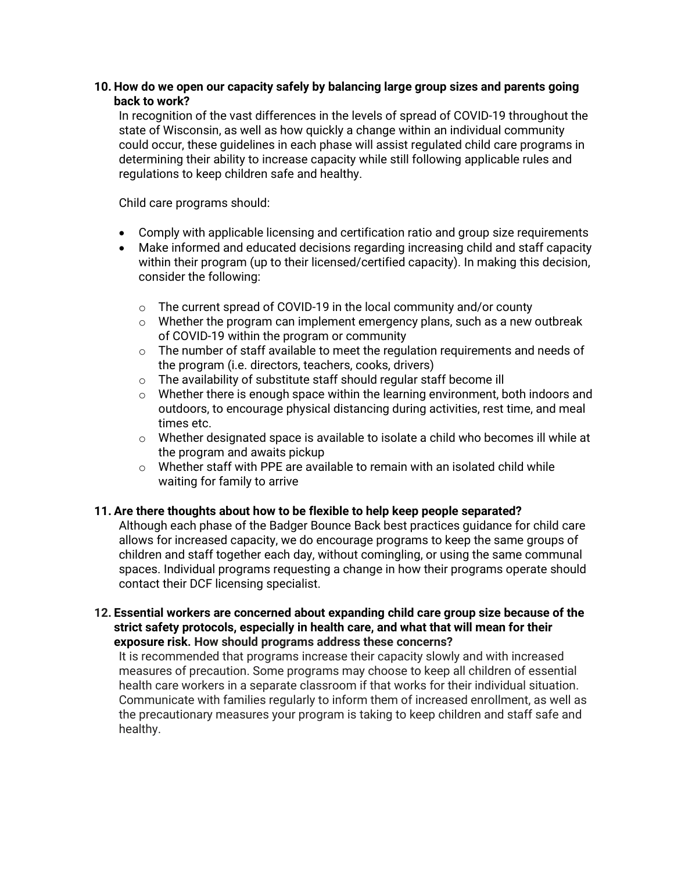### **10. How do we open our capacity safely by balancing large group sizes and parents going back to work?**

In recognition of the vast differences in the levels of spread of COVID-19 throughout the state of Wisconsin, as well as how quickly a change within an individual community could occur, these guidelines in each phase will assist regulated child care programs in determining their ability to increase capacity while still following applicable rules and regulations to keep children safe and healthy.

Child care programs should:

- Comply with applicable licensing and certification ratio and group size requirements
- Make informed and educated decisions regarding increasing child and staff capacity within their program (up to their licensed/certified capacity). In making this decision, consider the following:
	- $\circ$  The current spread of COVID-19 in the local community and/or county
	- o Whether the program can implement emergency plans, such as a new outbreak of COVID-19 within the program or community
	- o The number of staff available to meet the regulation requirements and needs of the program (i.e. directors, teachers, cooks, drivers)
	- o The availability of substitute staff should regular staff become ill
	- o Whether there is enough space within the learning environment, both indoors and outdoors, to encourage physical distancing during activities, rest time, and meal times etc.
	- $\circ$  Whether designated space is available to isolate a child who becomes ill while at the program and awaits pickup
	- o Whether staff with PPE are available to remain with an isolated child while waiting for family to arrive

#### **11. Are there thoughts about how to be flexible to help keep people separated?**

Although each phase of the Badger Bounce Back best practices guidance for child care allows for increased capacity, we do encourage programs to keep the same groups of children and staff together each day, without comingling, or using the same communal spaces. Individual programs requesting a change in how their programs operate should contact their DCF licensing specialist.

#### **12. Essential workers are concerned about expanding child care group size because of the strict safety protocols, especially in health care, and what that will mean for their exposure risk. How should programs address these concerns?**

It is recommended that programs increase their capacity slowly and with increased measures of precaution. Some programs may choose to keep all children of essential health care workers in a separate classroom if that works for their individual situation. Communicate with families regularly to inform them of increased enrollment, as well as the precautionary measures your program is taking to keep children and staff safe and healthy.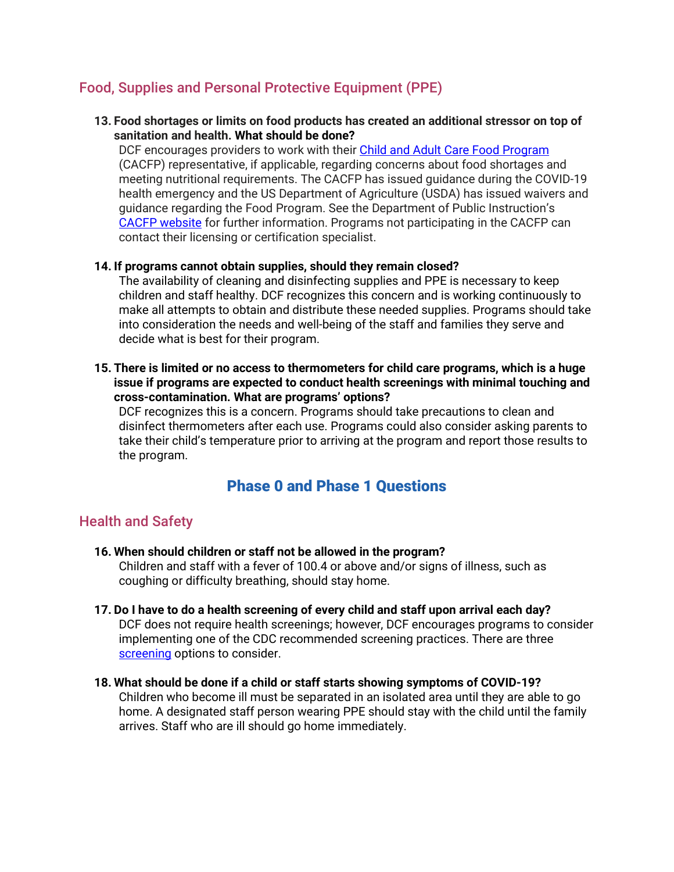### Food, Supplies and Personal Protective Equipment (PPE)

**13. Food shortages or limits on food products has created an additional stressor on top of sanitation and health. What should be done?**

DCF encourages providers to work with thei[r Child and Adult Care Food Program](https://dpi.wi.gov/community-nutrition/cacfp) (CACFP) representative, if applicable, regarding concerns about food shortages and meeting nutritional requirements. The CACFP has issued guidance during the COVID-19 health emergency and the US Department of Agriculture (USDA) has issued waivers and guidance regarding the Food Program. See the Department of Public Instruction's [CACFP website](https://dpi.wi.gov/nutrition/coronavirus/cacfp) for further information. Programs not participating in the CACFP can contact their licensing or certification specialist.

#### **14. If programs cannot obtain supplies, should they remain closed?**

The availability of cleaning and disinfecting supplies and PPE is necessary to keep children and staff healthy. DCF recognizes this concern and is working continuously to make all attempts to obtain and distribute these needed supplies. Programs should take into consideration the needs and well-being of the staff and families they serve and decide what is best for their program.

**15. There is limited or no access to thermometers for child care programs, which is a huge issue if programs are expected to conduct health screenings with minimal touching and cross-contamination. What are programs' options?**

DCF recognizes this is a concern. Programs should take precautions to clean and disinfect thermometers after each use. Programs could also consider asking parents to take their child's temperature prior to arriving at the program and report those results to the program.

## Phase 0 and Phase 1 Questions

### Health and Safety

**16. When should children or staff not be allowed in the program?**

Children and staff with a fever of 100.4 or above and/or signs of illness, such as coughing or difficulty breathing, should stay home.

- **17. Do I have to do a health screening of every child and staff upon arrival each day?** DCF does not require health screenings; however, DCF encourages programs to consider implementing one of the CDC recommended screening practices. There are three [screening](https://www.cdc.gov/coronavirus/2019-ncov/community/schools-childcare/guidance-for-childcare.html#ScreenChildren) options to consider.
- **18. What should be done if a child or staff starts showing symptoms of COVID-19?** Children who become ill must be separated in an isolated area until they are able to go home. A designated staff person wearing PPE should stay with the child until the family arrives. Staff who are ill should go home immediately.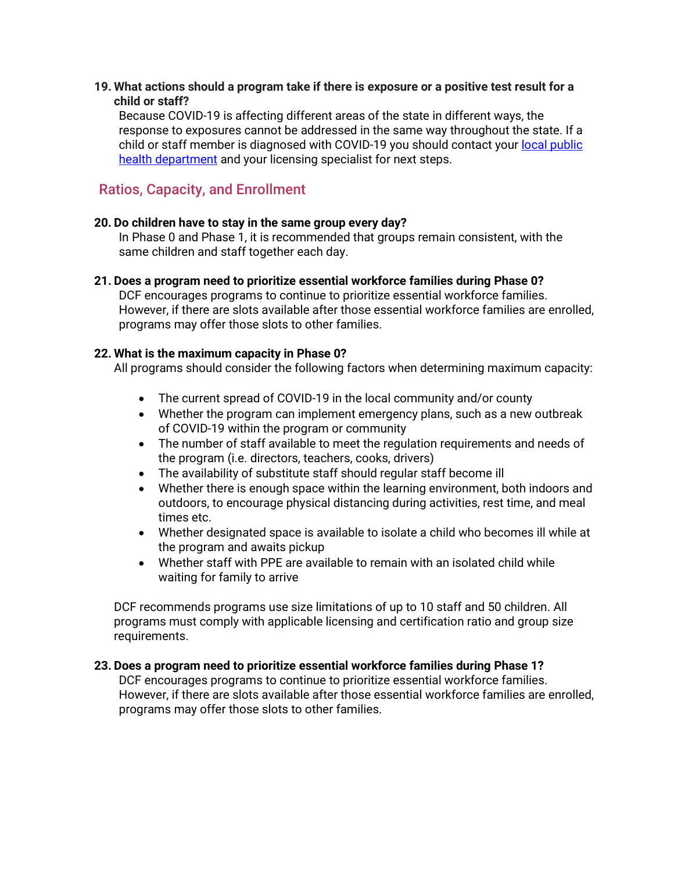#### **19. What actions should a program take if there is exposure or a positive test result for a child or staff?**

Because COVID-19 is affecting different areas of the state in different ways, the response to exposures cannot be addressed in the same way throughout the state. If a child or staff member is diagnosed with COVID-19 you should contact your local public [health department](https://www.dhs.wisconsin.gov/lh-depts/counties.htm) and your licensing specialist for next steps.

## Ratios, Capacity, and Enrollment

#### **20. Do children have to stay in the same group every day?**

In Phase 0 and Phase 1, it is recommended that groups remain consistent, with the same children and staff together each day.

#### **21. Does a program need to prioritize essential workforce families during Phase 0?**

DCF encourages programs to continue to prioritize essential workforce families. However, if there are slots available after those essential workforce families are enrolled, programs may offer those slots to other families.

#### **22. What is the maximum capacity in Phase 0?**

All programs should consider the following factors when determining maximum capacity:

- The current spread of COVID-19 in the local community and/or county
- Whether the program can implement emergency plans, such as a new outbreak of COVID-19 within the program or community
- The number of staff available to meet the regulation requirements and needs of the program (i.e. directors, teachers, cooks, drivers)
- The availability of substitute staff should regular staff become ill
- Whether there is enough space within the learning environment, both indoors and outdoors, to encourage physical distancing during activities, rest time, and meal times etc.
- Whether designated space is available to isolate a child who becomes ill while at the program and awaits pickup
- Whether staff with PPE are available to remain with an isolated child while waiting for family to arrive

DCF recommends programs use size limitations of up to 10 staff and 50 children. All programs must comply with applicable licensing and certification ratio and group size requirements.

#### **23. Does a program need to prioritize essential workforce families during Phase 1?**

DCF encourages programs to continue to prioritize essential workforce families. However, if there are slots available after those essential workforce families are enrolled, programs may offer those slots to other families.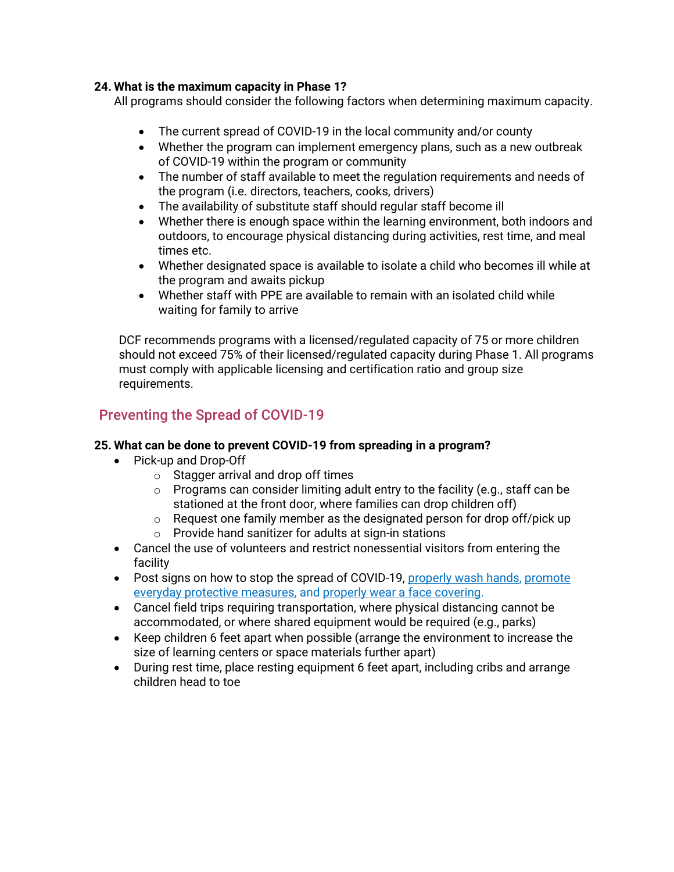### **24. What is the maximum capacity in Phase 1?**

All programs should consider the following factors when determining maximum capacity.

- The current spread of COVID-19 in the local community and/or county
- Whether the program can implement emergency plans, such as a new outbreak of COVID-19 within the program or community
- The number of staff available to meet the regulation requirements and needs of the program (i.e. directors, teachers, cooks, drivers)
- The availability of substitute staff should regular staff become ill
- Whether there is enough space within the learning environment, both indoors and outdoors, to encourage physical distancing during activities, rest time, and meal times etc.
- Whether designated space is available to isolate a child who becomes ill while at the program and awaits pickup
- Whether staff with PPE are available to remain with an isolated child while waiting for family to arrive

DCF recommends programs with a licensed/regulated capacity of 75 or more children should not exceed 75% of their licensed/regulated capacity during Phase 1. All programs must comply with applicable licensing and certification ratio and group size requirements.

## Preventing the Spread of COVID-19

### **25. What can be done to prevent COVID-19 from spreading in a program?**

- Pick-up and Drop-Off
	- $\circ$  Stagger arrival and drop off times
	- $\circ$  Programs can consider limiting adult entry to the facility (e.g., staff can be stationed at the front door, where families can drop children off)
	- o Request one family member as the designated person for drop off/pick up
	- o Provide hand sanitizer for adults at sign-in stations
- Cancel the use of volunteers and restrict nonessential visitors from entering the facility
- Post signs on how to stop the spread of COVID-19[, properly wash hands,](https://www.cdc.gov/handwashing/posters.html) promote [everyday protective measures,](https://www.cdc.gov/coronavirus/2019-ncov/prevent-getting-sick/prevention-H.pdf) and [properly wear a face covering.](https://www.cdc.gov/coronavirus/2019-ncov/images/face-covering-checklist.jpg)
- Cancel field trips requiring transportation, where physical distancing cannot be accommodated, or where shared equipment would be required (e.g., parks)
- Keep children 6 feet apart when possible (arrange the environment to increase the size of learning centers or space materials further apart)
- During rest time, place resting equipment 6 feet apart, including cribs and arrange children head to toe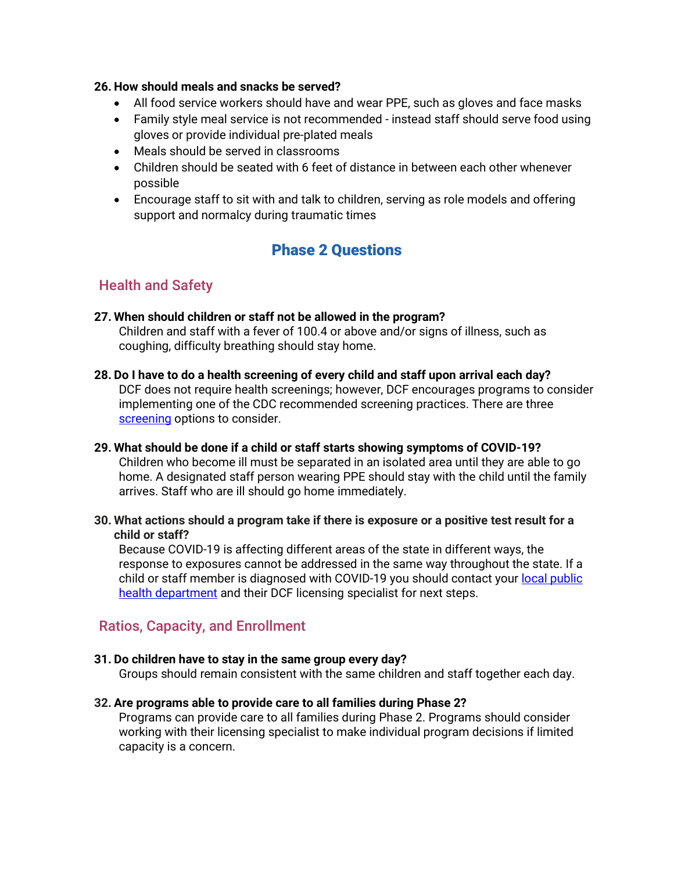#### **26. How should meals and snacks be served?**

- All food service workers should have and wear PPE, such as gloves and face masks
- Family style meal service is not recommended instead staff should serve food using gloves or provide individual pre-plated meals
- Meals should be served in classrooms
- Children should be seated with 6 feet of distance in between each other whenever possible
- Encourage staff to sit with and talk to children, serving as role models and offering support and normalcy during traumatic times

# Phase 2 Questions

## Health and Safety

- **27. When should children or staff not be allowed in the program?** Children and staff with a fever of 100.4 or above and/or signs of illness, such as coughing, difficulty breathing should stay home.
- **28. Do I have to do a health screening of every child and staff upon arrival each day?** DCF does not require health screenings; however, DCF encourages programs to consider implementing one of the CDC recommended screening practices. There are three [screening](https://www.cdc.gov/coronavirus/2019-ncov/community/schools-childcare/guidance-for-childcare.html#ScreenChildren) options to consider.
- **29. What should be done if a child or staff starts showing symptoms of COVID-19?** Children who become ill must be separated in an isolated area until they are able to go home. A designated staff person wearing PPE should stay with the child until the family arrives. Staff who are ill should go home immediately.
- **30. What actions should a program take if there is exposure or a positive test result for a child or staff?**

Because COVID-19 is affecting different areas of the state in different ways, the response to exposures cannot be addressed in the same way throughout the state. If a child or staff member is diagnosed with COVID-19 you should contact your local public [health department](https://www.dhs.wisconsin.gov/lh-depts/counties.htm) and their DCF licensing specialist for next steps.

## Ratios, Capacity, and Enrollment

### **31. Do children have to stay in the same group every day?**

Groups should remain consistent with the same children and staff together each day.

**32. Are programs able to provide care to all families during Phase 2?**

Programs can provide care to all families during Phase 2. Programs should consider working with their licensing specialist to make individual program decisions if limited capacity is a concern.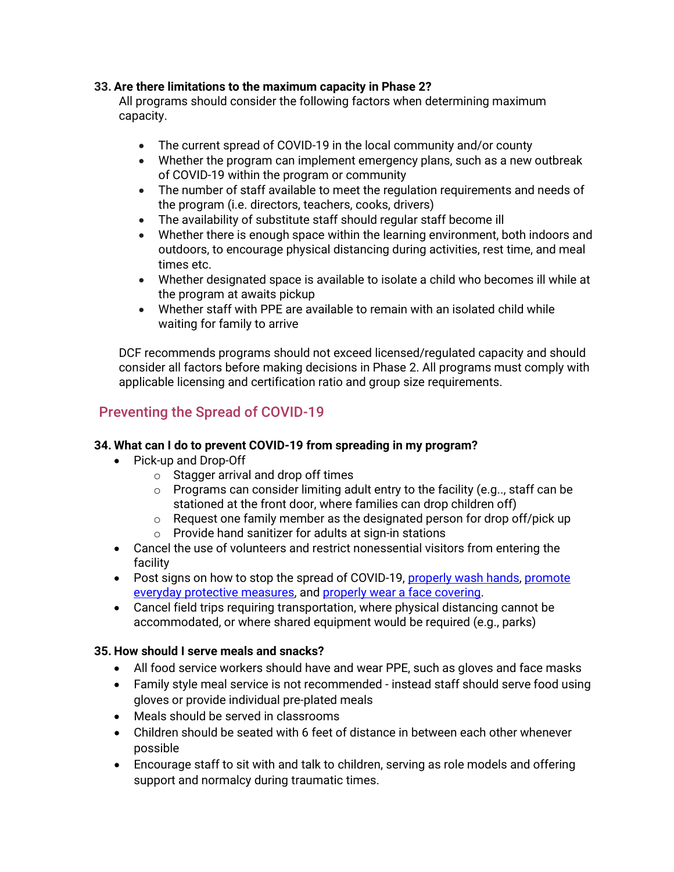### **33. Are there limitations to the maximum capacity in Phase 2?**

All programs should consider the following factors when determining maximum capacity.

- The current spread of COVID-19 in the local community and/or county
- Whether the program can implement emergency plans, such as a new outbreak of COVID-19 within the program or community
- The number of staff available to meet the regulation requirements and needs of the program (i.e. directors, teachers, cooks, drivers)
- The availability of substitute staff should regular staff become ill
- Whether there is enough space within the learning environment, both indoors and outdoors, to encourage physical distancing during activities, rest time, and meal times etc.
- Whether designated space is available to isolate a child who becomes ill while at the program at awaits pickup
- Whether staff with PPE are available to remain with an isolated child while waiting for family to arrive

DCF recommends programs should not exceed licensed/regulated capacity and should consider all factors before making decisions in Phase 2. All programs must comply with applicable licensing and certification ratio and group size requirements.

## Preventing the Spread of COVID-19

### **34. What can I do to prevent COVID-19 from spreading in my program?**

- Pick-up and Drop-Off
	- $\circ$  Stagger arrival and drop off times
	- $\circ$  Programs can consider limiting adult entry to the facility (e.g., staff can be stationed at the front door, where families can drop children off)
	- o Request one family member as the designated person for drop off/pick up
	- o Provide hand sanitizer for adults at sign-in stations
- Cancel the use of volunteers and restrict nonessential visitors from entering the facility
- Post signs on how to stop the spread of COVID-19[, properly wash hands,](https://www.cdc.gov/handwashing/posters.html) promote [everyday protective measures,](https://www.cdc.gov/coronavirus/2019-ncov/prevent-getting-sick/prevention-H.pdf) and [properly wear a face covering.](https://www.cdc.gov/coronavirus/2019-ncov/images/face-covering-checklist.jpg)
- Cancel field trips requiring transportation, where physical distancing cannot be accommodated, or where shared equipment would be required (e.g., parks)

### **35. How should I serve meals and snacks?**

- All food service workers should have and wear PPE, such as gloves and face masks
- Family style meal service is not recommended instead staff should serve food using gloves or provide individual pre-plated meals
- Meals should be served in classrooms
- Children should be seated with 6 feet of distance in between each other whenever possible
- Encourage staff to sit with and talk to children, serving as role models and offering support and normalcy during traumatic times.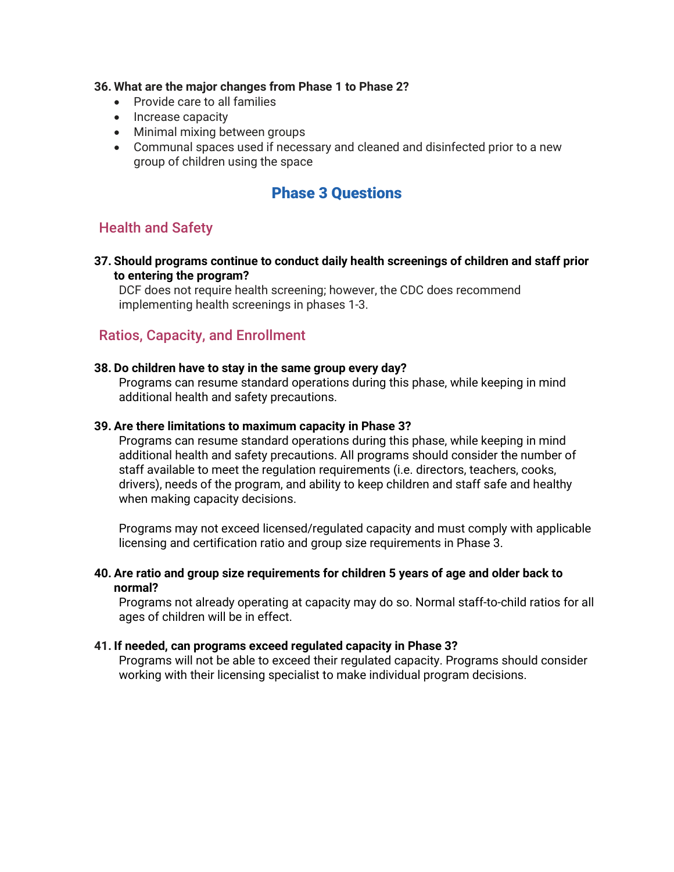#### **36. What are the major changes from Phase 1 to Phase 2?**

- Provide care to all families
- Increase capacity
- Minimal mixing between groups
- Communal spaces used if necessary and cleaned and disinfected prior to a new group of children using the space

## Phase 3 Questions

## Health and Safety

**37. Should programs continue to conduct daily health screenings of children and staff prior to entering the program?**

DCF does not require health screening; however, the CDC does recommend implementing health screenings in phases 1-3.

## Ratios, Capacity, and Enrollment

#### **38. Do children have to stay in the same group every day?**

Programs can resume standard operations during this phase, while keeping in mind additional health and safety precautions.

#### **39. Are there limitations to maximum capacity in Phase 3?**

Programs can resume standard operations during this phase, while keeping in mind additional health and safety precautions. All programs should consider the number of staff available to meet the regulation requirements (i.e. directors, teachers, cooks, drivers), needs of the program, and ability to keep children and staff safe and healthy when making capacity decisions.

Programs may not exceed licensed/regulated capacity and must comply with applicable licensing and certification ratio and group size requirements in Phase 3.

#### **40. Are ratio and group size requirements for children 5 years of age and older back to normal?**

Programs not already operating at capacity may do so. Normal staff-to-child ratios for all ages of children will be in effect.

#### **41. If needed, can programs exceed regulated capacity in Phase 3?**

Programs will not be able to exceed their regulated capacity. Programs should consider working with their licensing specialist to make individual program decisions.